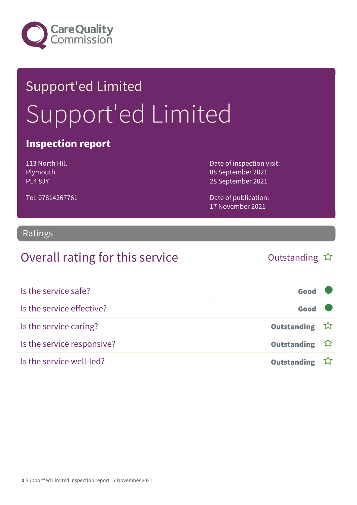

# Support'ed Limited Support'ed Limited

### Inspection report

113 North Hill Plymouth PL4 8JY

Tel: 07814267761

Date of inspection visit: 08 September 2021 28 September 2021

Date of publication: 17 November 2021

#### Ratings

### Overall rating for this service  $\Box$  Outstanding  $\hat{x}$

| Is the service safe?       | Good               |  |
|----------------------------|--------------------|--|
| Is the service effective?  | Good               |  |
| Is the service caring?     | Outstanding ☆      |  |
| Is the service responsive? | Outstanding ☆      |  |
| Is the service well-led?   | <b>Outstanding</b> |  |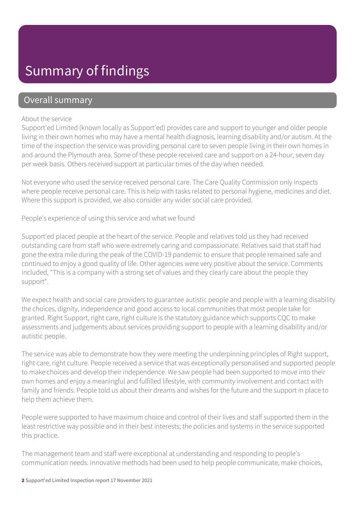### Summary of findings

### Overall summary

#### About the service

Support'ed Limited (known locally as Support'ed) provides care and support to younger and older people living in their own homes who may have a mental health diagnosis, learning disability and/or autism. At the time of the inspection the service was providing personal care to seven people living in their own homes in and around the Plymouth area. Some of these people received care and support on a 24-hour, seven day per week basis. Others received support at particular times of the day when needed.

Not everyone who used the service received personal care. The Care Quality Commission only inspects where people receive personal care. This is help with tasks related to personal hygiene, medicines and diet. Where this support is provided, we also consider any wider social care provided.

People's experience of using this service and what we found

Support'ed placed people at the heart of the service. People and relatives told us they had received outstanding care from staff who were extremely caring and compassionate. Relatives said that staff had gone the extra mile during the peak of the COVID-19 pandemic to ensure that people remained safe and continued to enjoy a good quality of life. Other agencies were very positive about the service. Comments included, "This is a company with a strong set of values and they clearly care about the people they support".

We expect health and social care providers to guarantee autistic people and people with a learning disability the choices, dignity, independence and good access to local communities that most people take for granted. Right Support, right care, right culture is the statutory guidance which supports CQC to make assessments and judgements about services providing support to people with a learning disability and/or autistic people.

The service was able to demonstrate how they were meeting the underpinning principles of Right support, right care, right culture. People received a service that was exceptionally personalised and supported people to make choices and develop their independence. We saw people had been supported to move into their own homes and enjoy a meaningful and fulfilled lifestyle, with community involvement and contact with family and friends. People told us about their dreams and wishes for the future and the support in place to help them achieve them.

People were supported to have maximum choice and control of their lives and staff supported them in the least restrictive way possible and in their best interests; the policies and systems in the service supported this practice.

The management team and staff were exceptional at understanding and responding to people's communication needs. Innovative methods had been used to help people communicate, make choices,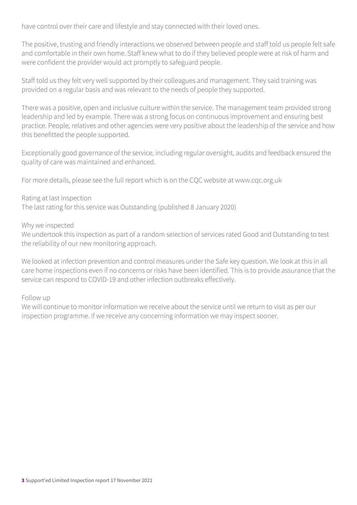have control over their care and lifestyle and stay connected with their loved ones.

The positive, trusting and friendly interactions we observed between people and staff told us people felt safe and comfortable in their own home. Staff knew what to do if they believed people were at risk of harm and were confident the provider would act promptly to safeguard people.

Staff told us they felt very well supported by their colleagues and management. They said training was provided on a regular basis and was relevant to the needs of people they supported.

There was a positive, open and inclusive culture within the service. The management team provided strong leadership and led by example. There was a strong focus on continuous improvement and ensuring best practice. People, relatives and other agencies were very positive about the leadership of the service and how this benefitted the people supported.

Exceptionally good governance of the service, including regular oversight, audits and feedback ensured the quality of care was maintained and enhanced.

For more details, please see the full report which is on the CQC website at www.cqc.org.uk

#### Rating at last inspection

The last rating for this service was Outstanding (published 8 January 2020)

#### Why we inspected

We undertook this inspection as part of a random selection of services rated Good and Outstanding to test the reliability of our new monitoring approach.

We looked at infection prevention and control measures under the Safe key question. We look at this in all care home inspections even if no concerns or risks have been identified. This is to provide assurance that the service can respond to COVID-19 and other infection outbreaks effectively.

Follow up

We will continue to monitor information we receive about the service until we return to visit as per our inspection programme. If we receive any concerning information we may inspect sooner.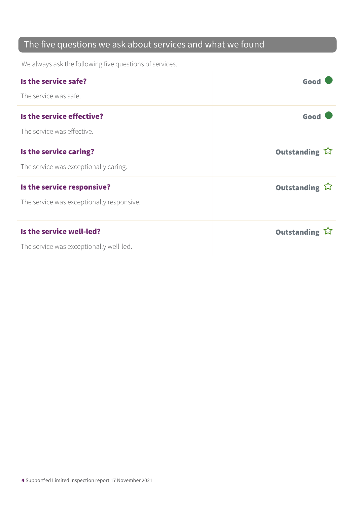### The five questions we ask about services and what we found

We always ask the following five questions of services.

| Is the service safe?                                                    | Good                                 |
|-------------------------------------------------------------------------|--------------------------------------|
| The service was safe.                                                   |                                      |
| Is the service effective?<br>The service was effective.                 | Good                                 |
| Is the service caring?<br>The service was exceptionally caring.         | Outstanding $\overleftrightarrow{v}$ |
| Is the service responsive?<br>The service was exceptionally responsive. | Outstanding $\hat{W}$                |
| Is the service well-led?<br>The service was exceptionally well-led.     | Outstanding $\hat{W}$                |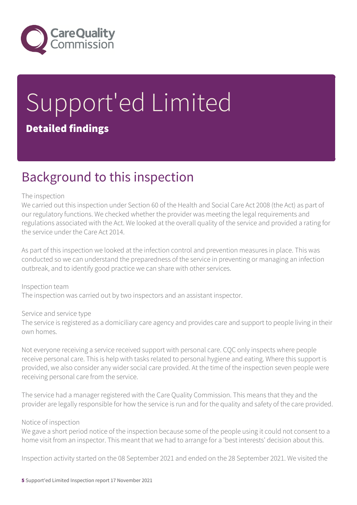

# Support'ed Limited Detailed findings

### Background to this inspection

#### The inspection

We carried out this inspection under Section 60 of the Health and Social Care Act 2008 (the Act) as part of our regulatory functions. We checked whether the provider was meeting the legal requirements and regulations associated with the Act. We looked at the overall quality of the service and provided a rating for the service under the Care Act 2014.

As part of this inspection we looked at the infection control and prevention measures in place. This was conducted so we can understand the preparedness of the service in preventing or managing an infection outbreak, and to identify good practice we can share with other services.

Inspection team The inspection was carried out by two inspectors and an assistant inspector.

Service and service type

The service is registered as a domiciliary care agency and provides care and support to people living in their own homes.

Not everyone receiving a service received support with personal care. CQC only inspects where people receive personal care. This is help with tasks related to personal hygiene and eating. Where this support is provided, we also consider any wider social care provided. At the time of the inspection seven people were receiving personal care from the service.

The service had a manager registered with the Care Quality Commission. This means that they and the provider are legally responsible for how the service is run and for the quality and safety of the care provided.

#### Notice of inspection

We gave a short period notice of the inspection because some of the people using it could not consent to a home visit from an inspector. This meant that we had to arrange for a 'best interests' decision about this.

Inspection activity started on the 08 September 2021 and ended on the 28 September 2021. We visited the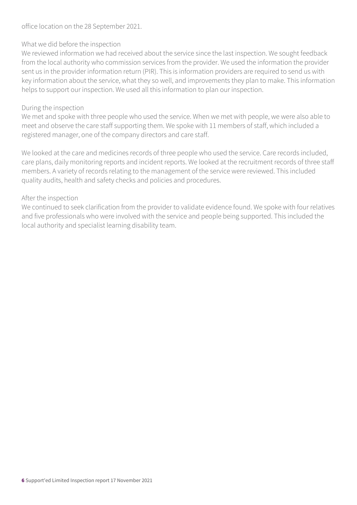office location on the 28 September 2021.

#### What we did before the inspection

We reviewed information we had received about the service since the last inspection. We sought feedback from the local authority who commission services from the provider. We used the information the provider sent us in the provider information return (PIR). This is information providers are required to send us with key information about the service, what they so well, and improvements they plan to make. This information helps to support our inspection. We used all this information to plan our inspection.

#### During the inspection

We met and spoke with three people who used the service. When we met with people, we were also able to meet and observe the care staff supporting them. We spoke with 11 members of staff, which included a registered manager, one of the company directors and care staff.

We looked at the care and medicines records of three people who used the service. Care records included, care plans, daily monitoring reports and incident reports. We looked at the recruitment records of three staff members. A variety of records relating to the management of the service were reviewed. This included quality audits, health and safety checks and policies and procedures.

#### After the inspection

We continued to seek clarification from the provider to validate evidence found. We spoke with four relatives and five professionals who were involved with the service and people being supported. This included the local authority and specialist learning disability team.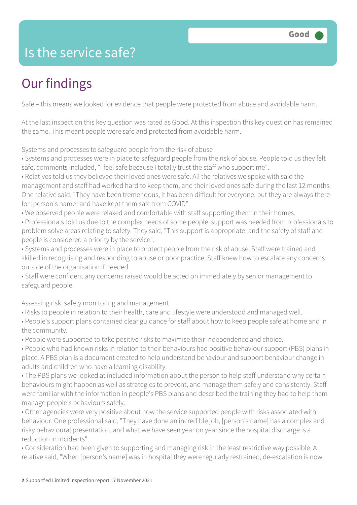### Is the service safe?

## Our findings

Safe – this means we looked for evidence that people were protected from abuse and avoidable harm.

At the last inspection this key question was rated as Good. At this inspection this key question has remained the same. This meant people were safe and protected from avoidable harm.

Systems and processes to safeguard people from the risk of abuse

- Systems and processes were in place to safeguard people from the risk of abuse. People told us they felt safe, comments included, "I feel safe because I totally trust the staff who support me".
- Relatives told us they believed their loved ones were safe. All the relatives we spoke with said the management and staff had worked hard to keep them, and their loved ones safe during the last 12 months. One relative said, "They have been tremendous, it has been difficult for everyone, but they are always there for [person's name] and have kept them safe from COVID".
- We observed people were relaxed and comfortable with staff supporting them in their homes.
- Professionals told us due to the complex needs of some people, support was needed from professionals to problem solve areas relating to safety. They said, "This support is appropriate, and the safety of staff and people is considered a priority by the service".
- Systems and processes were in place to protect people from the risk of abuse. Staff were trained and skilled in recognising and responding to abuse or poor practice. Staff knew how to escalate any concerns outside of the organisation if needed.
- Staff were confident any concerns raised would be acted on immediately by senior management to safeguard people.

Assessing risk, safety monitoring and management

- Risks to people in relation to their health, care and lifestyle were understood and managed well.
- People's support plans contained clear guidance for staff about how to keep people safe at home and in the community.
- People were supported to take positive risks to maximise their independence and choice.
- People who had known risks in relation to their behaviours had positive behaviour support (PBS) plans in place. A PBS plan is a document created to help understand behaviour and support behaviour change in adults and children who have a learning disability.
- The PBS plans we looked at included information about the person to help staff understand why certain behaviours might happen as well as strategies to prevent, and manage them safely and consistently. Staff were familiar with the information in people's PBS plans and described the training they had to help them manage people's behaviours safely.
- Other agencies were very positive about how the service supported people with risks associated with behaviour. One professional said, "They have done an incredible job, [person's name] has a complex and risky behavioural presentation, and what we have seen year on year since the hospital discharge is a reduction in incidents".
- Consideration had been given to supporting and managing risk in the least restrictive way possible. A relative said, "When [person's name] was in hospital they were regularly restrained, de-escalation is now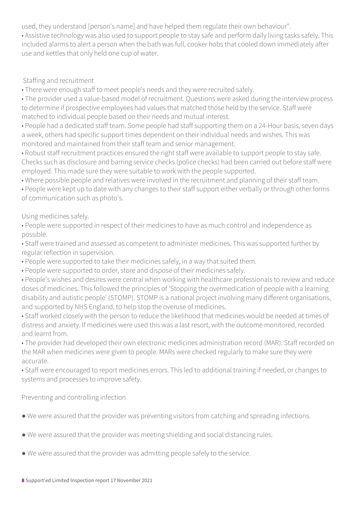used, they understand [person's name] and have helped them regulate their own behaviour".

• Assistive technology was also used to support people to stay safe and perform daily living tasks safely. This included alarms to alert a person when the bath was full, cooker hobs that cooled down immediately after use and kettles that only held one cup of water.

#### Staffing and recruitment

• There were enough staff to meet people's needs and they were recruited safely.

• The provider used a value-based model of recruitment. Questions were asked during the interview process to determine if prospective employees had values that matched those held by the service. Staff were matched to individual people based on their needs and mutual interest.

• People had a dedicated staff team. Some people had staff supporting them on a 24-Hour basis, seven days a week, others had specific support times dependent on their individual needs and wishes. This was monitored and maintained from their staff team and senior management.

• Robust staff recruitment practices ensured the right staff were available to support people to stay safe. Checks such as disclosure and barring service checks (police checks) had been carried out before staff were employed. This made sure they were suitable to work with the people supported.

• Where possible people and relatives were involved in the recruitment and planning of their staff team.

• People were kept up to date with any changes to their staff support either verbally or through other forms of communication such as photo's.

Using medicines safely.

• People were supported in respect of their medicines to have as much control and independence as possible.

• Staff were trained and assessed as competent to administer medicines. This was supported further by regular reflection in supervision.

- People were supported to take their medicines safely, in a way that suited them.
- People were supported to order, store and dispose of their medicines safely.

• People's wishes and desires were central when working with healthcare professionals to review and reduce doses of medicines. This followed the principles of 'Stopping the overmedication of people with a learning disability and autistic people' (STOMP). STOMP is a national project involving many different organisations, and supported by NHS England, to help stop the overuse of medicines.

• Staff worked closely with the person to reduce the likelihood that medicines would be needed at times of distress and anxiety. If medicines were used this was a last resort, with the outcome monitored, recorded and learnt from.

• The provider had developed their own electronic medicines administration record (MAR). Staff recorded on the MAR when medicines were given to people. MARs were checked regularly to make sure they were accurate.

• Staff were encouraged to report medicines errors. This led to additional training if needed, or changes to systems and processes to improve safety.

Preventing and controlling infection

- We were assured that the provider was preventing visitors from catching and spreading infections.
- We were assured that the provider was meeting shielding and social distancing rules.
- We were assured that the provider was admitting people safely to the service.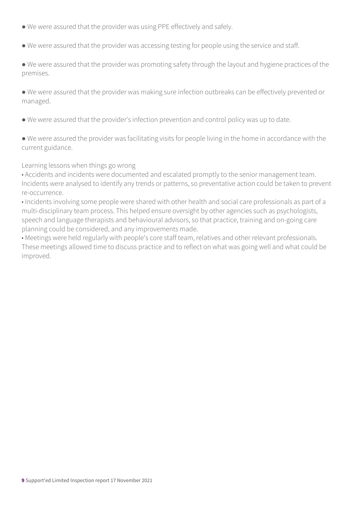- We were assured that the provider was using PPE effectively and safely.
- We were assured that the provider was accessing testing for people using the service and staff.
- We were assured that the provider was promoting safety through the layout and hygiene practices of the premises.
- We were assured that the provider was making sure infection outbreaks can be effectively prevented or managed.
- We were assured that the provider's infection prevention and control policy was up to date.
- We were assured the provider was facilitating visits for people living in the home in accordance with the current guidance.

#### Learning lessons when things go wrong

- Accidents and incidents were documented and escalated promptly to the senior management team. Incidents were analysed to identify any trends or patterns, so preventative action could be taken to prevent re-occurrence.
- Incidents involving some people were shared with other health and social care professionals as part of a multi-disciplinary team process. This helped ensure oversight by other agencies such as psychologists, speech and language therapists and behavioural advisors, so that practice, training and on-going care planning could be considered, and any improvements made.
- Meetings were held regularly with people's core staff team, relatives and other relevant professionals. These meetings allowed time to discuss practice and to reflect on what was going well and what could be improved.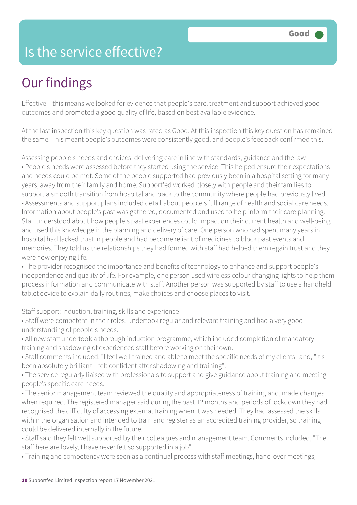### Is the service effective?

## Our findings

Effective – this means we looked for evidence that people's care, treatment and support achieved good outcomes and promoted a good quality of life, based on best available evidence.

At the last inspection this key question was rated as Good. At this inspection this key question has remained the same. This meant people's outcomes were consistently good, and people's feedback confirmed this.

Assessing people's needs and choices; delivering care in line with standards, guidance and the law • People's needs were assessed before they started using the service. This helped ensure their expectations and needs could be met. Some of the people supported had previously been in a hospital setting for many years, away from their family and home. Support'ed worked closely with people and their families to support a smooth transition from hospital and back to the community where people had previously lived. • Assessments and support plans included detail about people's full range of health and social care needs. Information about people's past was gathered, documented and used to help inform their care planning. Staff understood about how people's past experiences could impact on their current health and well-being and used this knowledge in the planning and delivery of care. One person who had spent many years in hospital had lacked trust in people and had become reliant of medicines to block past events and memories. They told us the relationships they had formed with staff had helped them regain trust and they were now enjoying life.

• The provider recognised the importance and benefits of technology to enhance and support people's independence and quality of life. For example, one person used wireless colour changing lights to help them process information and communicate with staff. Another person was supported by staff to use a handheld tablet device to explain daily routines, make choices and choose places to visit.

Staff support: induction, training, skills and experience

- Staff were competent in their roles, undertook regular and relevant training and had a very good understanding of people's needs.
- All new staff undertook a thorough induction programme, which included completion of mandatory training and shadowing of experienced staff before working on their own.
- Staff comments included, "I feel well trained and able to meet the specific needs of my clients" and, "It's been absolutely brilliant, I felt confident after shadowing and training".
- The service regularly liaised with professionals to support and give guidance about training and meeting people's specific care needs.
- The senior management team reviewed the quality and appropriateness of training and, made changes when required. The registered manager said during the past 12 months and periods of lockdown they had recognised the difficulty of accessing external training when it was needed. They had assessed the skills within the organisation and intended to train and register as an accredited training provider, so training could be delivered internally in the future.
- Staff said they felt well supported by their colleagues and management team. Comments included, "The staff here are lovely, I have never felt so supported in a job".
- Training and competency were seen as a continual process with staff meetings, hand-over meetings,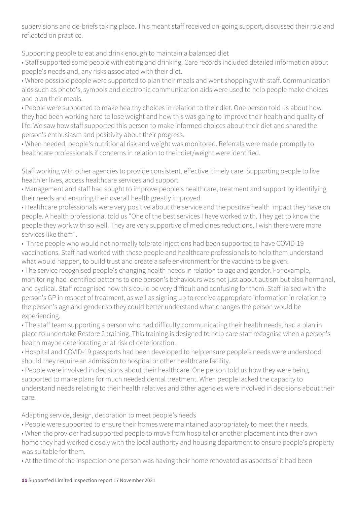supervisions and de-briefs taking place. This meant staff received on-going support, discussed their role and reflected on practice.

Supporting people to eat and drink enough to maintain a balanced diet

• Staff supported some people with eating and drinking. Care records included detailed information about people's needs and, any risks associated with their diet.

• Where possible people were supported to plan their meals and went shopping with staff. Communication aids such as photo's, symbols and electronic communication aids were used to help people make choices and plan their meals.

• People were supported to make healthy choices in relation to their diet. One person told us about how they had been working hard to lose weight and how this was going to improve their health and quality of life. We saw how staff supported this person to make informed choices about their diet and shared the person's enthusiasm and positivity about their progress.

• When needed, people's nutritional risk and weight was monitored. Referrals were made promptly to healthcare professionals if concerns in relation to their diet/weight were identified.

Staff working with other agencies to provide consistent, effective, timely care. Supporting people to live healthier lives, access healthcare services and support

• Management and staff had sought to improve people's healthcare, treatment and support by identifying their needs and ensuring their overall health greatly improved.

• Healthcare professionals were very positive about the service and the positive health impact they have on people. A health professional told us "One of the best services I have worked with. They get to know the people they work with so well. They are very supportive of medicines reductions, I wish there were more services like them".

• Three people who would not normally tolerate injections had been supported to have COVID-19 vaccinations. Staff had worked with these people and healthcare professionals to help them understand what would happen, to build trust and create a safe environment for the vaccine to be given.

• The service recognised people's changing health needs in relation to age and gender. For example, monitoring had identified patterns to one person's behaviours was not just about autism but also hormonal, and cyclical. Staff recognised how this could be very difficult and confusing for them. Staff liaised with the person's GP in respect of treatment, as well as signing up to receive appropriate information in relation to the person's age and gender so they could better understand what changes the person would be experiencing.

• The staff team supporting a person who had difficulty communicating their health needs, had a plan in place to undertake Restore 2 training. This training is designed to help care staff recognise when a person's health maybe deteriorating or at risk of deterioration.

• Hospital and COVID-19 passports had been developed to help ensure people's needs were understood should they require an admission to hospital or other healthcare facility.

• People were involved in decisions about their healthcare. One person told us how they were being supported to make plans for much needed dental treatment. When people lacked the capacity to understand needs relating to their health relatives and other agencies were involved in decisions about their care.

Adapting service, design, decoration to meet people's needs

• People were supported to ensure their homes were maintained appropriately to meet their needs.

• When the provider had supported people to move from hospital or another placement into their own home they had worked closely with the local authority and housing department to ensure people's property was suitable for them.

• At the time of the inspection one person was having their home renovated as aspects of it had been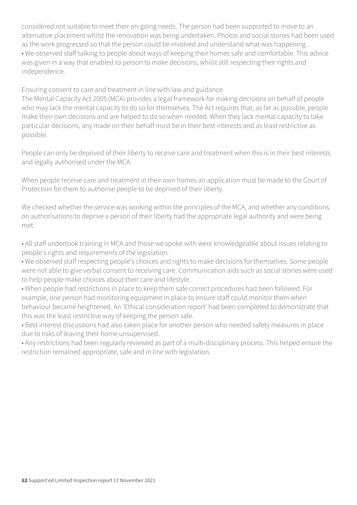considered not suitable to meet their on-going needs. The person had been supported to move to an alternative placement whilst the renovation was being undertaken. Photos and social stories had been used as the work progressed so that the person could be involved and understand what was happening. • We observed staff talking to people about ways of keeping their homes safe and comfortable. This advice was given in a way that enabled to person to make decisions, whilst still respecting their rights and independence.

Ensuring consent to care and treatment in line with law and guidance

The Mental Capacity Act 2005 (MCA) provides a legal framework for making decisions on behalf of people who may lack the mental capacity to do so for themselves. The Act requires that, as far as possible, people make their own decisions and are helped to do so when needed. When they lack mental capacity to take particular decisions, any made on their behalf must be in their best interests and as least restrictive as possible.

People can only be deprived of their liberty to receive care and treatment when this is in their best interests and legally authorised under the MCA.

When people receive care and treatment in their own homes an application must be made to the Court of Protection for them to authorise people to be deprived of their liberty.

We checked whether the service was working within the principles of the MCA, and whether any conditions on authorisations to deprive a person of their liberty had the appropriate legal authority and were being met.

• All staff undertook training in MCA and those we spoke with were knowledgeable about issues relating to people's rights and requirements of the legislation.

• We observed staff respecting people's choices and rights to make decisions for themselves. Some people were not able to give verbal consent to receiving care. Communication aids such as social stories were used to help people make choices about their care and lifestyle.

• When people had restrictions in place to keep them safe correct procedures had been followed. For example, one person had monitoring equipment in place to ensure staff could monitor them when behaviour became heightened. An 'Ethical consideration report' had been completed to demonstrate that this was the least restrictive way of keeping the person safe.

• Best interest discussions had also taken place for another person who needed safety measures in place due to risks of leaving their home unsupervised.

• Any restrictions had been regularly reviewed as part of a multi-disciplinary process. This helped ensure the restriction remained appropriate, safe and in line with legislation.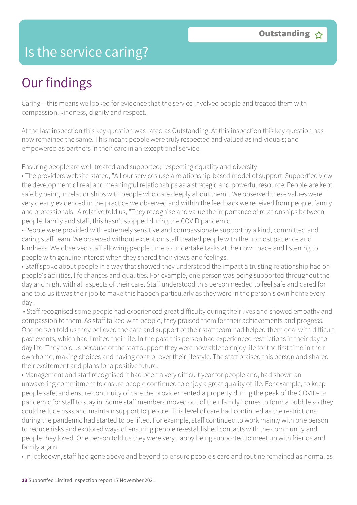### Is the service caring?

### Our findings

Caring – this means we looked for evidence that the service involved people and treated them with compassion, kindness, dignity and respect.

At the last inspection this key question was rated as Outstanding. At this inspection this key question has now remained the same. This meant people were truly respected and valued as individuals; and empowered as partners in their care in an exceptional service.

Ensuring people are well treated and supported; respecting equality and diversity

• The providers website stated, "All our services use a relationship-based model of support. Support'ed view the development of real and meaningful relationships as a strategic and powerful resource. People are kept safe by being in relationships with people who care deeply about them". We observed these values were very clearly evidenced in the practice we observed and within the feedback we received from people, family and professionals. A relative told us, "They recognise and value the importance of relationships between people, family and staff, this hasn't stopped during the COVID pandemic.

• People were provided with extremely sensitive and compassionate support by a kind, committed and caring staff team. We observed without exception staff treated people with the upmost patience and kindness. We observed staff allowing people time to undertake tasks at their own pace and listening to people with genuine interest when they shared their views and feelings.

• Staff spoke about people in a way that showed they understood the impact a trusting relationship had on people's abilities, life chances and qualities. For example, one person was being supported throughout the day and night with all aspects of their care. Staff understood this person needed to feel safe and cared for and told us it was their job to make this happen particularly as they were in the person's own home everyday.

 • Staff recognised some people had experienced great difficulty during their lives and showed empathy and compassion to them. As staff talked with people, they praised them for their achievements and progress. One person told us they believed the care and support of their staff team had helped them deal with difficult past events, which had limited their life. In the past this person had experienced restrictions in their day to day life. They told us because of the staff support they were now able to enjoy life for the first time in their own home, making choices and having control over their lifestyle. The staff praised this person and shared their excitement and plans for a positive future.

• Management and staff recognised it had been a very difficult year for people and, had shown an unwavering commitment to ensure people continued to enjoy a great quality of life. For example, to keep people safe, and ensure continuity of care the provider rented a property during the peak of the COVID-19 pandemic for staff to stay in. Some staff members moved out of their family homes to form a bubble so they could reduce risks and maintain support to people. This level of care had continued as the restrictions during the pandemic had started to be lifted. For example, staff continued to work mainly with one person to reduce risks and explored ways of ensuring people re-established contacts with the community and people they loved. One person told us they were very happy being supported to meet up with friends and family again.

• In lockdown, staff had gone above and beyond to ensure people's care and routine remained as normal as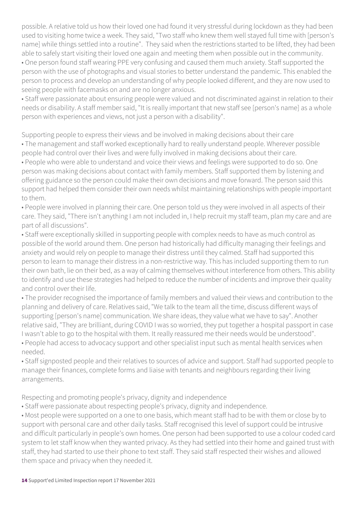possible. A relative told us how their loved one had found it very stressful during lockdown as they had been used to visiting home twice a week. They said, "Two staff who knew them well stayed full time with [person's name] while things settled into a routine". They said when the restrictions started to be lifted, they had been able to safely start visiting their loved one again and meeting them when possible out in the community. • One person found staff wearing PPE very confusing and caused them much anxiety. Staff supported the person with the use of photographs and visual stories to better understand the pandemic. This enabled the person to process and develop an understanding of why people looked different, and they are now used to seeing people with facemasks on and are no longer anxious.

• Staff were passionate about ensuring people were valued and not discriminated against in relation to their needs or disability. A staff member said, "It is really important that new staff see [person's name] as a whole person with experiences and views, not just a person with a disability".

Supporting people to express their views and be involved in making decisions about their care

• The management and staff worked exceptionally hard to really understand people. Wherever possible people had control over their lives and were fully involved in making decisions about their care.

• People who were able to understand and voice their views and feelings were supported to do so. One person was making decisions about contact with family members. Staff supported them by listening and offering guidance so the person could make their own decisions and move forward. The person said this support had helped them consider their own needs whilst maintaining relationships with people important to them.

• People were involved in planning their care. One person told us they were involved in all aspects of their care. They said, "There isn't anything I am not included in, I help recruit my staff team, plan my care and are part of all discussions".

• Staff were exceptionally skilled in supporting people with complex needs to have as much control as possible of the world around them. One person had historically had difficulty managing their feelings and anxiety and would rely on people to manage their distress until they calmed. Staff had supported this person to learn to manage their distress in a non-restrictive way. This has included supporting them to run their own bath, lie on their bed, as a way of calming themselves without interference from others. This ability to identify and use these strategies had helped to reduce the number of incidents and improve their quality and control over their life.

• The provider recognised the importance of family members and valued their views and contribution to the planning and delivery of care. Relatives said, "We talk to the team all the time, discuss different ways of supporting [person's name] communication. We share ideas, they value what we have to say". Another relative said, "They are brilliant, during COVID I was so worried, they put together a hospital passport in case I wasn't able to go to the hospital with them. It really reassured me their needs would be understood".

• People had access to advocacy support and other specialist input such as mental health services when needed.

• Staff signposted people and their relatives to sources of advice and support. Staff had supported people to manage their finances, complete forms and liaise with tenants and neighbours regarding their living arrangements.

Respecting and promoting people's privacy, dignity and independence

• Staff were passionate about respecting people's privacy, dignity and independence.

• Most people were supported on a one to one basis, which meant staff had to be with them or close by to support with personal care and other daily tasks. Staff recognised this level of support could be intrusive and difficult particularly in people's own homes. One person had been supported to use a colour coded card system to let staff know when they wanted privacy. As they had settled into their home and gained trust with staff, they had started to use their phone to text staff. They said staff respected their wishes and allowed them space and privacy when they needed it.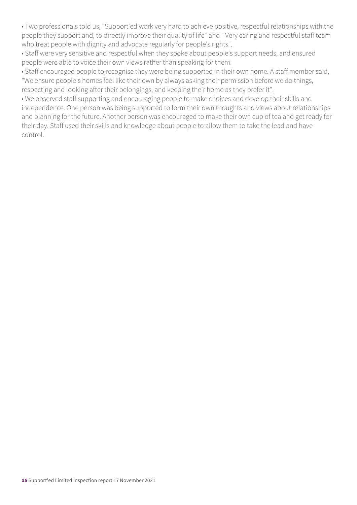• Two professionals told us, "Support'ed work very hard to achieve positive, respectful relationships with the people they support and, to directly improve their quality of life" and " Very caring and respectful staff team who treat people with dignity and advocate regularly for people's rights".

• Staff were very sensitive and respectful when they spoke about people's support needs, and ensured people were able to voice their own views rather than speaking for them.

• Staff encouraged people to recognise they were being supported in their own home. A staff member said, "We ensure people's homes feel like their own by always asking their permission before we do things, respecting and looking after their belongings, and keeping their home as they prefer it".

• We observed staff supporting and encouraging people to make choices and develop their skills and independence. One person was being supported to form their own thoughts and views about relationships and planning for the future. Another person was encouraged to make their own cup of tea and get ready for their day. Staff used their skills and knowledge about people to allow them to take the lead and have control.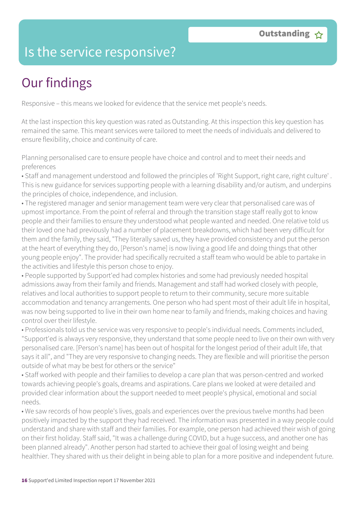### Is the service responsive?

# Our findings

Responsive – this means we looked for evidence that the service met people's needs.

At the last inspection this key question was rated as Outstanding. At this inspection this key question has remained the same. This meant services were tailored to meet the needs of individuals and delivered to ensure flexibility, choice and continuity of care.

Planning personalised care to ensure people have choice and control and to meet their needs and preferences

• Staff and management understood and followed the principles of 'Right Support, right care, right culture' . This is new guidance for services supporting people with a learning disability and/or autism, and underpins the principles of choice, independence, and inclusion.

• The registered manager and senior management team were very clear that personalised care was of upmost importance. From the point of referral and through the transition stage staff really got to know people and their families to ensure they understood what people wanted and needed. One relative told us their loved one had previously had a number of placement breakdowns, which had been very difficult for them and the family, they said, "They literally saved us, they have provided consistency and put the person at the heart of everything they do, [Person's name] is now living a good life and doing things that other young people enjoy". The provider had specifically recruited a staff team who would be able to partake in the activities and lifestyle this person chose to enjoy.

• People supported by Support'ed had complex histories and some had previously needed hospital admissions away from their family and friends. Management and staff had worked closely with people, relatives and local authorities to support people to return to their community, secure more suitable accommodation and tenancy arrangements. One person who had spent most of their adult life in hospital, was now being supported to live in their own home near to family and friends, making choices and having control over their lifestyle.

• Professionals told us the service was very responsive to people's individual needs. Comments included, "Support'ed is always very responsive, they understand that some people need to live on their own with very personalised care. [Person's name] has been out of hospital for the longest period of their adult life, that says it all", and "They are very responsive to changing needs. They are flexible and will prioritise the person outside of what may be best for others or the service"

• Staff worked with people and their families to develop a care plan that was person-centred and worked towards achieving people's goals, dreams and aspirations. Care plans we looked at were detailed and provided clear information about the support needed to meet people's physical, emotional and social needs.

• We saw records of how people's lives, goals and experiences over the previous twelve months had been positively impacted by the support they had received. The information was presented in a way people could understand and share with staff and their families. For example, one person had achieved their wish of going on their first holiday. Staff said, "It was a challenge during COVID, but a huge success, and another one has been planned already". Another person had started to achieve their goal of losing weight and being healthier. They shared with us their delight in being able to plan for a more positive and independent future.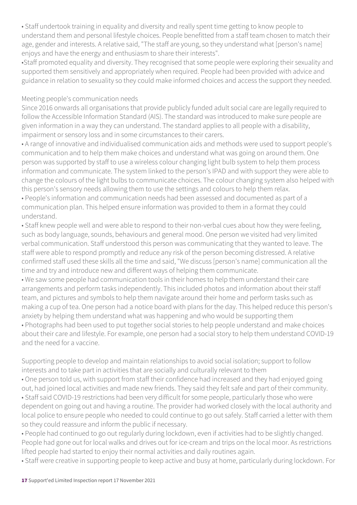• Staff undertook training in equality and diversity and really spent time getting to know people to understand them and personal lifestyle choices. People benefitted from a staff team chosen to match their age, gender and interests. A relative said, "The staff are young, so they understand what [person's name] enjoys and have the energy and enthusiasm to share their interests".

•Staff promoted equality and diversity. They recognised that some people were exploring their sexuality and supported them sensitively and appropriately when required. People had been provided with advice and guidance in relation to sexuality so they could make informed choices and access the support they needed.

#### Meeting people's communication needs

Since 2016 onwards all organisations that provide publicly funded adult social care are legally required to follow the Accessible Information Standard (AIS). The standard was introduced to make sure people are given information in a way they can understand. The standard applies to all people with a disability, impairment or sensory loss and in some circumstances to their carers.

• A range of innovative and individualised communication aids and methods were used to support people's communication and to help them make choices and understand what was going on around them. One person was supported by staff to use a wireless colour changing light bulb system to help them process information and communicate. The system linked to the person's IPAD and with support they were able to change the colours of the light bulbs to communicate choices. The colour changing system also helped with this person's sensory needs allowing them to use the settings and colours to help them relax.

• People's information and communication needs had been assessed and documented as part of a communication plan. This helped ensure information was provided to them in a format they could understand.

• Staff knew people well and were able to respond to their non-verbal cues about how they were feeling, such as body language, sounds, behaviours and general mood. One person we visited had very limited verbal communication. Staff understood this person was communicating that they wanted to leave. The staff were able to respond promptly and reduce any risk of the person becoming distressed. A relative confirmed staff used these skills all the time and said, "We discuss [person's name] communication all the time and try and introduce new and different ways of helping them communicate.

• We saw some people had communication tools in their homes to help them understand their care arrangements and perform tasks independently. This included photos and information about their staff team, and pictures and symbols to help them navigate around their home and perform tasks such as making a cup of tea. One person had a notice board with plans for the day. This helped reduce this person's anxiety by helping them understand what was happening and who would be supporting them • Photographs had been used to put together social stories to help people understand and make choices about their care and lifestyle. For example, one person had a social story to help them understand COVID-19 and the need for a vaccine.

Supporting people to develop and maintain relationships to avoid social isolation; support to follow interests and to take part in activities that are socially and culturally relevant to them

• One person told us, with support from staff their confidence had increased and they had enjoyed going out, had joined local activities and made new friends. They said they felt safe and part of their community. • Staff said COVID-19 restrictions had been very difficult for some people, particularly those who were dependent on going out and having a routine. The provider had worked closely with the local authority and local police to ensure people who needed to could continue to go out safely. Staff carried a letter with them so they could reassure and inform the public if necessary.

• People had continued to go out regularly during lockdown, even if activities had to be slightly changed. People had gone out for local walks and drives out for ice-cream and trips on the local moor. As restrictions lifted people had started to enjoy their normal activities and daily routines again.

• Staff were creative in supporting people to keep active and busy at home, particularly during lockdown. For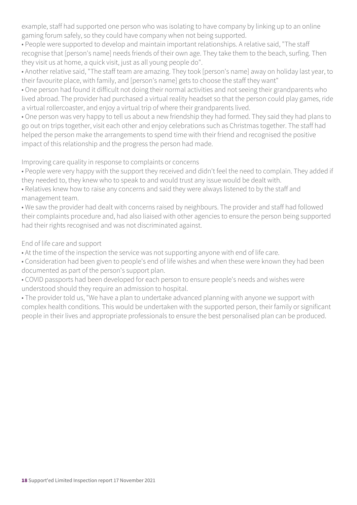example, staff had supported one person who was isolating to have company by linking up to an online gaming forum safely, so they could have company when not being supported.

• People were supported to develop and maintain important relationships. A relative said, "The staff recognise that [person's name] needs friends of their own age. They take them to the beach, surfing. Then they visit us at home, a quick visit, just as all young people do".

• Another relative said, "The staff team are amazing. They took [person's name] away on holiday last year, to their favourite place, with family, and [person's name] gets to choose the staff they want"

• One person had found it difficult not doing their normal activities and not seeing their grandparents who lived abroad. The provider had purchased a virtual reality headset so that the person could play games, ride a virtual rollercoaster, and enjoy a virtual trip of where their grandparents lived.

• One person was very happy to tell us about a new friendship they had formed. They said they had plans to go out on trips together, visit each other and enjoy celebrations such as Christmas together. The staff had helped the person make the arrangements to spend time with their friend and recognised the positive impact of this relationship and the progress the person had made.

Improving care quality in response to complaints or concerns

• People were very happy with the support they received and didn't feel the need to complain. They added if they needed to, they knew who to speak to and would trust any issue would be dealt with.

• Relatives knew how to raise any concerns and said they were always listened to by the staff and management team.

• We saw the provider had dealt with concerns raised by neighbours. The provider and staff had followed their complaints procedure and, had also liaised with other agencies to ensure the person being supported had their rights recognised and was not discriminated against.

End of life care and support

• At the time of the inspection the service was not supporting anyone with end of life care.

• Consideration had been given to people's end of life wishes and when these were known they had been documented as part of the person's support plan.

• COVID passports had been developed for each person to ensure people's needs and wishes were understood should they require an admission to hospital.

• The provider told us, "We have a plan to undertake advanced planning with anyone we support with complex health conditions. This would be undertaken with the supported person, their family or significant people in their lives and appropriate professionals to ensure the best personalised plan can be produced.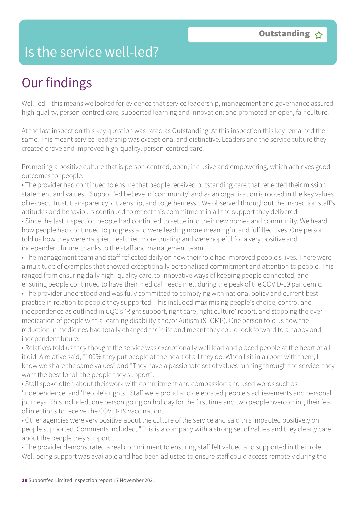### Is the service well-led?

## Our findings

Well-led – this means we looked for evidence that service leadership, management and governance assured high-quality, person-centred care; supported learning and innovation; and promoted an open, fair culture.

At the last inspection this key question was rated as Outstanding. At this inspection this key remained the same. This meant service leadership was exceptional and distinctive. Leaders and the service culture they created drove and improved high-quality, person-centred care.

Promoting a positive culture that is person-centred, open, inclusive and empowering, which achieves good outcomes for people.

• The provider had continued to ensure that people received outstanding care that reflected their mission statement and values, "Support'ed believe in 'community' and as an organisation is rooted in the key values of respect, trust, transparency, citizenship, and togetherness". We observed throughout the inspection staff's attitudes and behaviours continued to reflect this commitment in all the support they delivered.

• Since the last inspection people had continued to settle into their new homes and community. We heard how people had continued to progress and were leading more meaningful and fulfilled lives. One person told us how they were happier, healthier, more trusting and were hopeful for a very positive and independent future, thanks to the staff and management team.

• The management team and staff reflected daily on how their role had improved people's lives. There were a multitude of examples that showed exceptionally personalised commitment and attention to people. This ranged from ensuring daily high- quality care, to innovative ways of keeping people connected, and ensuring people continued to have their medical needs met, during the peak of the COVID-19 pandemic.

• The provider understood and was fully committed to complying with national policy and current best practice in relation to people they supported. This included maximising people's choice, control and independence as outlined in CQC's 'Right support, right care, right culture' report, and stopping the over medication of people with a learning disability and/or Autism (STOMP). One person told us how the reduction in medicines had totally changed their life and meant they could look forward to a happy and independent future.

• Relatives told us they thought the service was exceptionally well lead and placed people at the heart of all it did. A relative said, "100% they put people at the heart of all they do. When I sit in a room with them, I know we share the same values" and "They have a passionate set of values running through the service, they want the best for all the people they support".

• Staff spoke often about their work with commitment and compassion and used words such as 'Independence' and 'People's rights'. Staff were proud and celebrated people's achievements and personal journeys. This included, one person going on holiday for the first time and two people overcoming their fear of injections to receive the COVID-19 vaccination.

• Other agencies were very positive about the culture of the service and said this impacted positively on people supported. Comments included, "This is a company with a strong set of values and they clearly care about the people they support".

• The provider demonstrated a real commitment to ensuring staff felt valued and supported in their role. Well-being support was available and had been adjusted to ensure staff could access remotely during the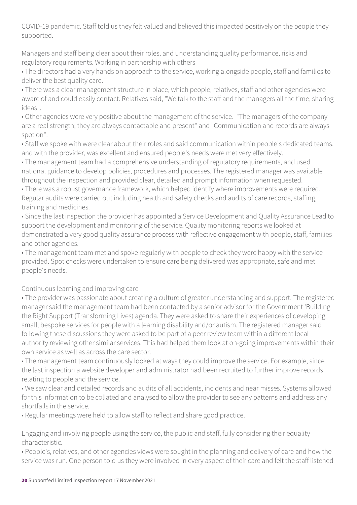COVID-19 pandemic. Staff told us they felt valued and believed this impacted positively on the people they supported.

Managers and staff being clear about their roles, and understanding quality performance, risks and regulatory requirements. Working in partnership with others

• The directors had a very hands on approach to the service, working alongside people, staff and families to deliver the best quality care.

• There was a clear management structure in place, which people, relatives, staff and other agencies were aware of and could easily contact. Relatives said, "We talk to the staff and the managers all the time, sharing ideas".

• Other agencies were very positive about the management of the service. "The managers of the company are a real strength; they are always contactable and present" and "Communication and records are always spot on".

• Staff we spoke with were clear about their roles and said communication within people's dedicated teams, and with the provider, was excellent and ensured people's needs were met very effectively.

• The management team had a comprehensive understanding of regulatory requirements, and used national guidance to develop policies, procedures and processes. The registered manager was available throughout the inspection and provided clear, detailed and prompt information when requested.

• There was a robust governance framework, which helped identify where improvements were required. Regular audits were carried out including health and safety checks and audits of care records, staffing, training and medicines.

• Since the last inspection the provider has appointed a Service Development and Quality Assurance Lead to support the development and monitoring of the service. Quality monitoring reports we looked at demonstrated a very good quality assurance process with reflective engagement with people, staff, families and other agencies.

• The management team met and spoke regularly with people to check they were happy with the service provided. Spot checks were undertaken to ensure care being delivered was appropriate, safe and met people's needs.

#### Continuous learning and improving care

• The provider was passionate about creating a culture of greater understanding and support. The registered manager said the management team had been contacted by a senior advisor for the Government 'Building the Right Support (Transforming Lives) agenda. They were asked to share their experiences of developing small, bespoke services for people with a learning disability and/or autism. The registered manager said following these discussions they were asked to be part of a peer review team within a different local authority reviewing other similar services. This had helped them look at on-going improvements within their own service as well as across the care sector.

• The management team continuously looked at ways they could improve the service. For example, since the last inspection a website developer and administrator had been recruited to further improve records relating to people and the service.

• We saw clear and detailed records and audits of all accidents, incidents and near misses. Systems allowed for this information to be collated and analysed to allow the provider to see any patterns and address any shortfalls in the service.

• Regular meetings were held to allow staff to reflect and share good practice.

Engaging and involving people using the service, the public and staff, fully considering their equality characteristic.

• People's, relatives, and other agencies views were sought in the planning and delivery of care and how the service was run. One person told us they were involved in every aspect of their care and felt the staff listened